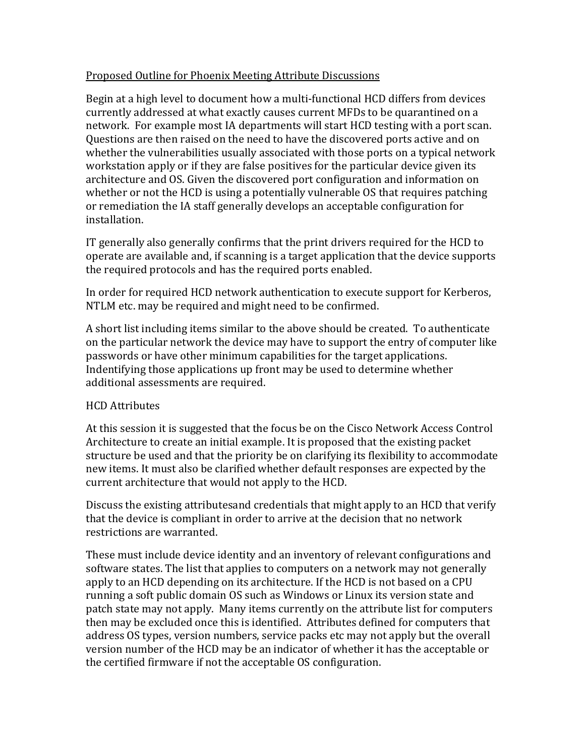## Proposed Outline for Phoenix Meeting Attribute Discussions

Begin at a high level to document how a multi‐functional HCD differs from devices currently addressed at what exactly causes current MFDs to be quarantined on a network. For example most IA departments will start HCD testing with a port scan. Questions are then raised on the need to have the discovered ports active and on whether the vulnerabilities usually associated with those ports on a typical network workstation apply or if they are false positives for the particular device given its architecture and OS. Given the discovered port configuration and information on whether or not the HCD is using a potentially vulnerable OS that requires patching or remediation the IA staff generally develops an acceptable configuration for installation.

IT generally also generally confirms that the print drivers required for the HCD to operate are available and, if scanning is a target application that the device supports the required protocols and has the required ports enabled.

In order for required HCD network authentication to execute support for Kerberos, NTLM etc. may be required and might need to be confirmed.

A short list including items similar to the above should be created. To authenticate on the particular network the device may have to support the entry of computer like passwords or have other minimum capabilities for the target applications. Indentifying those applications up front may be used to determine whether additional assessments are required.

## HCD Attributes

At this session it is suggested that the focus be on the Cisco Network Access Control Architecture to create an initial example. It is proposed that the existing packet structure be used and that the priority be on clarifying its flexibility to accommodate new items. It must also be clarified whether default responses are expected by the current architecture that would not apply to the HCD.

Discuss the existing attributesand credentials that might apply to an HCD that verify that the device is compliant in order to arrive at the decision that no network restrictions are warranted.

These must include device identity and an inventory of relevant configurations and software states. The list that applies to computers on a network may not generally apply to an HCD depending on its architecture. If the HCD is not based on a CPU running a soft public domain OS such as Windows or Linux its version state and patch state may not apply. Many items currently on the attribute list for computers then may be excluded once this is identified. Attributes defined for computers that address OS types, version numbers, service packs etc may not apply but the overall version number of the HCD may be an indicator of whether it has the acceptable or the certified firmware if not the acceptable OS configuration.